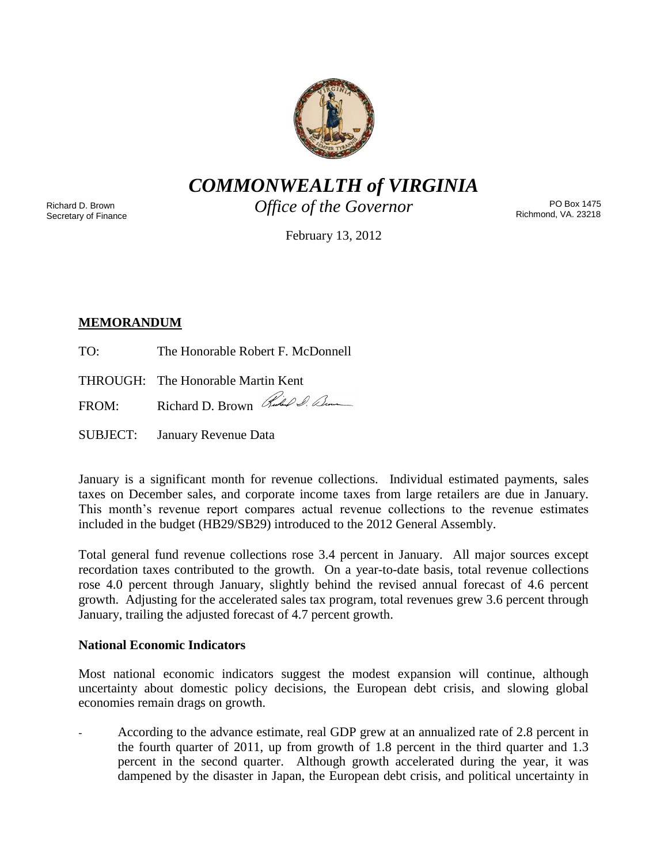

*COMMONWEALTH of VIRGINIA*

Richard D. Brown Secretary of Finance *Office of the Governor*

PO Box 1475 Richmond, VA. 23218

February 13, 2012

# **MEMORANDUM**

TO: The Honorable Robert F. McDonnell

THROUGH: The Honorable Martin Kent

FROM: Richard D. Brown Rules & Com

SUBJECT: January Revenue Data

January is a significant month for revenue collections. Individual estimated payments, sales taxes on December sales, and corporate income taxes from large retailers are due in January. This month's revenue report compares actual revenue collections to the revenue estimates included in the budget (HB29/SB29) introduced to the 2012 General Assembly.

Total general fund revenue collections rose 3.4 percent in January. All major sources except recordation taxes contributed to the growth. On a year-to-date basis, total revenue collections rose 4.0 percent through January, slightly behind the revised annual forecast of 4.6 percent growth. Adjusting for the accelerated sales tax program, total revenues grew 3.6 percent through January, trailing the adjusted forecast of 4.7 percent growth.

## **National Economic Indicators**

Most national economic indicators suggest the modest expansion will continue, although uncertainty about domestic policy decisions, the European debt crisis, and slowing global economies remain drags on growth.

- According to the advance estimate, real GDP grew at an annualized rate of 2.8 percent in the fourth quarter of 2011, up from growth of 1.8 percent in the third quarter and 1.3 percent in the second quarter. Although growth accelerated during the year, it was dampened by the disaster in Japan, the European debt crisis, and political uncertainty in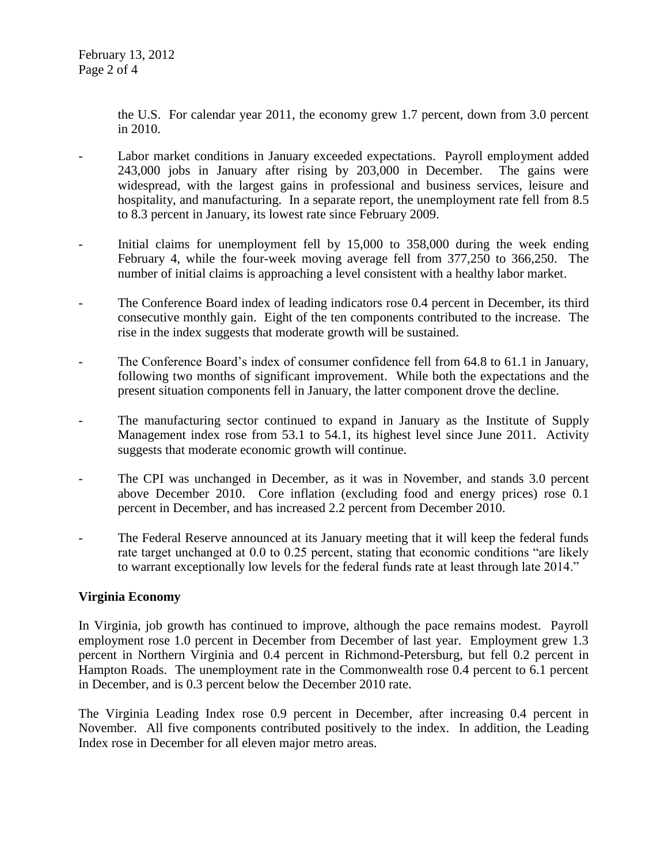the U.S. For calendar year 2011, the economy grew 1.7 percent, down from 3.0 percent in 2010.

- Labor market conditions in January exceeded expectations. Payroll employment added 243,000 jobs in January after rising by 203,000 in December. The gains were widespread, with the largest gains in professional and business services, leisure and hospitality, and manufacturing. In a separate report, the unemployment rate fell from 8.5 to 8.3 percent in January, its lowest rate since February 2009.
- Initial claims for unemployment fell by 15,000 to 358,000 during the week ending February 4, while the four-week moving average fell from 377,250 to 366,250. The number of initial claims is approaching a level consistent with a healthy labor market.
- The Conference Board index of leading indicators rose 0.4 percent in December, its third consecutive monthly gain. Eight of the ten components contributed to the increase. The rise in the index suggests that moderate growth will be sustained.
- The Conference Board's index of consumer confidence fell from 64.8 to 61.1 in January, following two months of significant improvement. While both the expectations and the present situation components fell in January, the latter component drove the decline.
- The manufacturing sector continued to expand in January as the Institute of Supply Management index rose from 53.1 to 54.1, its highest level since June 2011. Activity suggests that moderate economic growth will continue.
- The CPI was unchanged in December, as it was in November, and stands 3.0 percent above December 2010. Core inflation (excluding food and energy prices) rose 0.1 percent in December, and has increased 2.2 percent from December 2010.
- The Federal Reserve announced at its January meeting that it will keep the federal funds rate target unchanged at 0.0 to 0.25 percent, stating that economic conditions "are likely to warrant exceptionally low levels for the federal funds rate at least through late 2014."

## **Virginia Economy**

In Virginia, job growth has continued to improve, although the pace remains modest. Payroll employment rose 1.0 percent in December from December of last year. Employment grew 1.3 percent in Northern Virginia and 0.4 percent in Richmond-Petersburg, but fell 0.2 percent in Hampton Roads. The unemployment rate in the Commonwealth rose 0.4 percent to 6.1 percent in December, and is 0.3 percent below the December 2010 rate.

The Virginia Leading Index rose 0.9 percent in December, after increasing 0.4 percent in November. All five components contributed positively to the index. In addition, the Leading Index rose in December for all eleven major metro areas.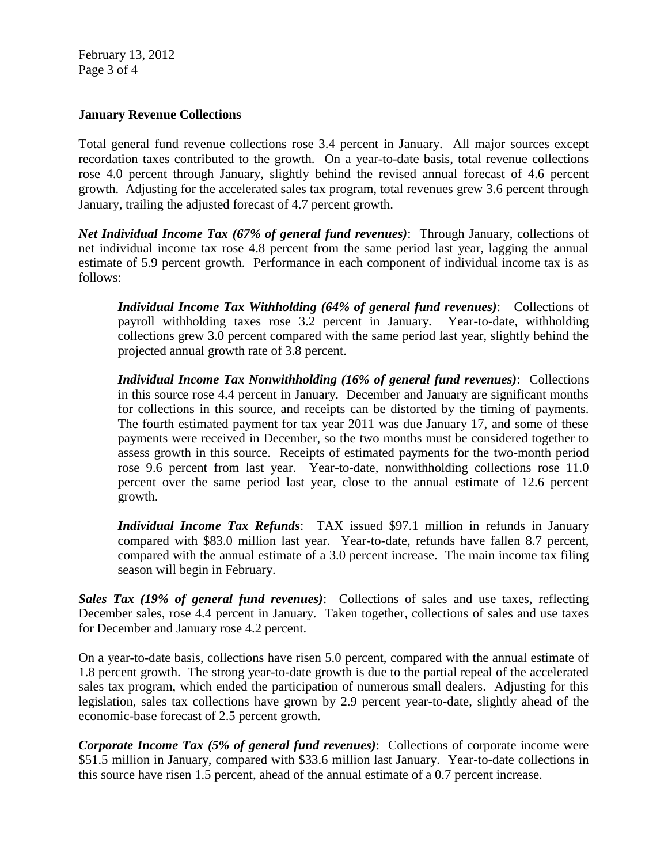February 13, 2012 Page 3 of 4

### **January Revenue Collections**

Total general fund revenue collections rose 3.4 percent in January. All major sources except recordation taxes contributed to the growth. On a year-to-date basis, total revenue collections rose 4.0 percent through January, slightly behind the revised annual forecast of 4.6 percent growth. Adjusting for the accelerated sales tax program, total revenues grew 3.6 percent through January, trailing the adjusted forecast of 4.7 percent growth.

*Net Individual Income Tax (67% of general fund revenues)*: Through January, collections of net individual income tax rose 4.8 percent from the same period last year, lagging the annual estimate of 5.9 percent growth. Performance in each component of individual income tax is as follows:

*Individual Income Tax Withholding (64% of general fund revenues)*: Collections of payroll withholding taxes rose 3.2 percent in January. Year-to-date, withholding collections grew 3.0 percent compared with the same period last year, slightly behind the projected annual growth rate of 3.8 percent.

*Individual Income Tax Nonwithholding (16% of general fund revenues)*: Collections in this source rose 4.4 percent in January. December and January are significant months for collections in this source, and receipts can be distorted by the timing of payments. The fourth estimated payment for tax year 2011 was due January 17, and some of these payments were received in December, so the two months must be considered together to assess growth in this source. Receipts of estimated payments for the two-month period rose 9.6 percent from last year. Year-to-date, nonwithholding collections rose 11.0 percent over the same period last year, close to the annual estimate of 12.6 percent growth.

*Individual Income Tax Refunds*: TAX issued \$97.1 million in refunds in January compared with \$83.0 million last year. Year-to-date, refunds have fallen 8.7 percent, compared with the annual estimate of a 3.0 percent increase. The main income tax filing season will begin in February.

*Sales Tax (19% of general fund revenues)*: Collections of sales and use taxes, reflecting December sales, rose 4.4 percent in January. Taken together, collections of sales and use taxes for December and January rose 4.2 percent.

On a year-to-date basis, collections have risen 5.0 percent, compared with the annual estimate of 1.8 percent growth. The strong year-to-date growth is due to the partial repeal of the accelerated sales tax program, which ended the participation of numerous small dealers. Adjusting for this legislation, sales tax collections have grown by 2.9 percent year-to-date, slightly ahead of the economic-base forecast of 2.5 percent growth.

*Corporate Income Tax (5% of general fund revenues)*: Collections of corporate income were \$51.5 million in January, compared with \$33.6 million last January. Year-to-date collections in this source have risen 1.5 percent, ahead of the annual estimate of a 0.7 percent increase.